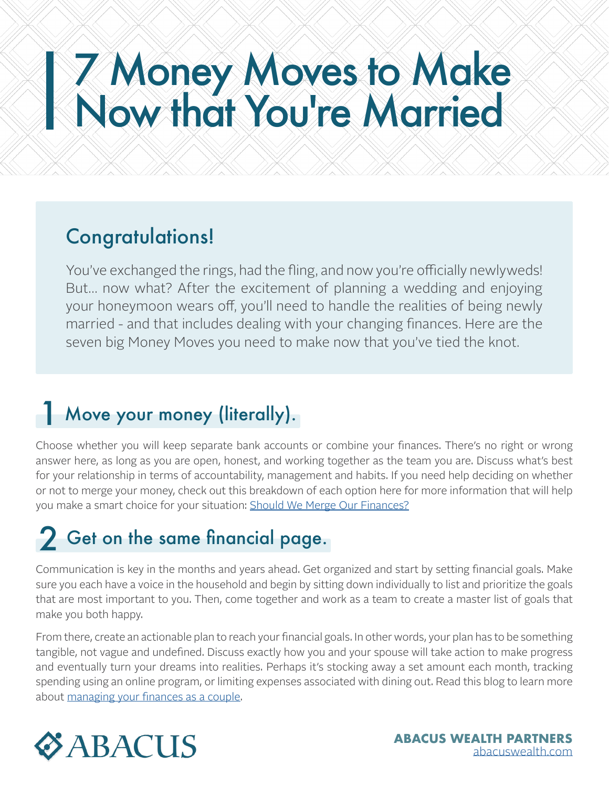# 7 Money Moves to Make Now that You're Married

#### Congratulations!

You've exchanged the rings, had the fling, and now you're officially newlyweds! But… now what? After the excitement of planning a wedding and enjoying your honeymoon wears off, you'll need to handle the realities of being newly married - and that includes dealing with your changing finances. Here are the seven big Money Moves you need to make now that you've tied the knot.

#### 1 Move your money (literally).

Choose whether you will keep separate bank accounts or combine your finances. There's no right or wrong answer here, as long as you are open, honest, and working together as the team you are. Discuss what's best for your relationship in terms of accountability, management and habits. If you need help deciding on whether or not to merge your money, check out this breakdown of each option here for more information that will help you make a smart choice for your situation: [Should We Merge Our Finances?](https://abacuswealth.com/should-we-merge-our-finances)

# 2 Get on the same financial page.

Communication is key in the months and years ahead. Get organized and start by setting financial goals. Make sure you each have a voice in the household and begin by sitting down individually to list and prioritize the goals that are most important to you. Then, come together and work as a team to create a master list of goals that make you both happy.

From there, create an actionable plan to reach your financial goals. In other words, your plan has to be something tangible, not vague and undefined. Discuss exactly how you and your spouse will take action to make progress and eventually turn your dreams into realities. Perhaps it's stocking away a set amount each month, tracking spending using an online program, or limiting expenses associated with dining out. Read this blog to learn more about [managing your finances as a couple.](https://abacuswealth.com/how-to-manage-your-finances-as-a-couple/)

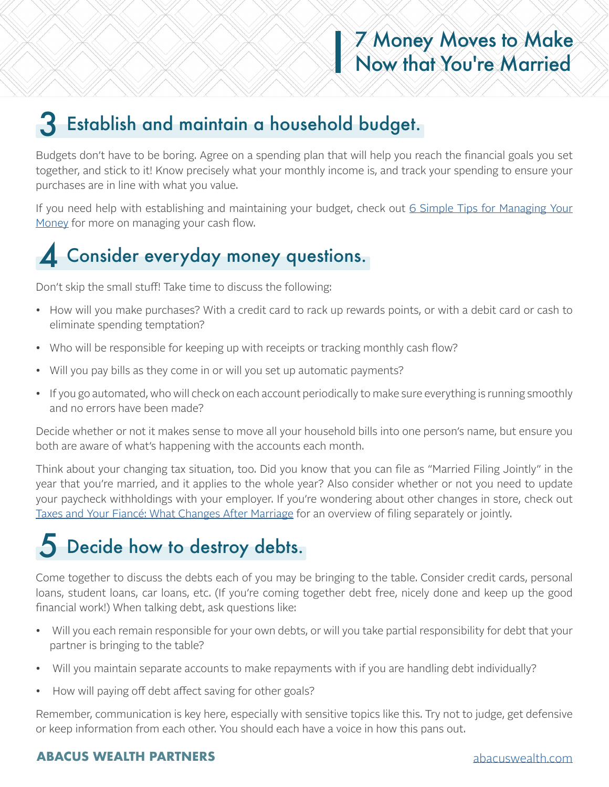#### 3 Establish and maintain a household budget.

Budgets don't have to be boring. Agree on a spending plan that will help you reach the financial goals you set together, and stick to it! Know precisely what your monthly income is, and track your spending to ensure your purchases are in line with what you value.

If you need help with establishing and maintaining your budget, check out [6 Simple Tips for Managing Your](https://abacuswealth.com/6-simple-tips-for-managing-your-money/) [Money](https://abacuswealth.com/6-simple-tips-for-managing-your-money/) for more on managing your cash flow.

### 4 Consider everyday money questions.

Don't skip the small stuff! Take time to discuss the following:

- How will you make purchases? With a credit card to rack up rewards points, or with a debit card or cash to eliminate spending temptation?
- Who will be responsible for keeping up with receipts or tracking monthly cash flow?
- Will you pay bills as they come in or will you set up automatic payments?
- If you go automated, who will check on each account periodically to make sure everything is running smoothly and no errors have been made?

Decide whether or not it makes sense to move all your household bills into one person's name, but ensure you both are aware of what's happening with the accounts each month.

Think about your changing tax situation, too. Did you know that you can file as "Married Filing Jointly" in the year that you're married, and it applies to the whole year? Also consider whether or not you need to update your paycheck withholdings with your employer. If you're wondering about other changes in store, check out [Taxes and Your Fiancé: What Changes After Marriage](https://workablewealth.com/2013/09/04/taxes-your-fiance-what-changes-after-marriage/) for an overview of filing separately or jointly.

## 5 Decide how to destroy debts.

Come together to discuss the debts each of you may be bringing to the table. Consider credit cards, personal loans, student loans, car loans, etc. (If you're coming together debt free, nicely done and keep up the good financial work!) When talking debt, ask questions like:

- Will you each remain responsible for your own debts, or will you take partial responsibility for debt that your partner is bringing to the table?
- Will you maintain separate accounts to make repayments with if you are handling debt individually?
- How will paying off debt affect saving for other goals?

Remember, communication is key here, especially with sensitive topics like this. Try not to judge, get defensive or keep information from each other. You should each have a voice in how this pans out.

#### **ABACUS WEALTH PARTNERS** [abacuswealth.com](http://www.abacuswealth.com)